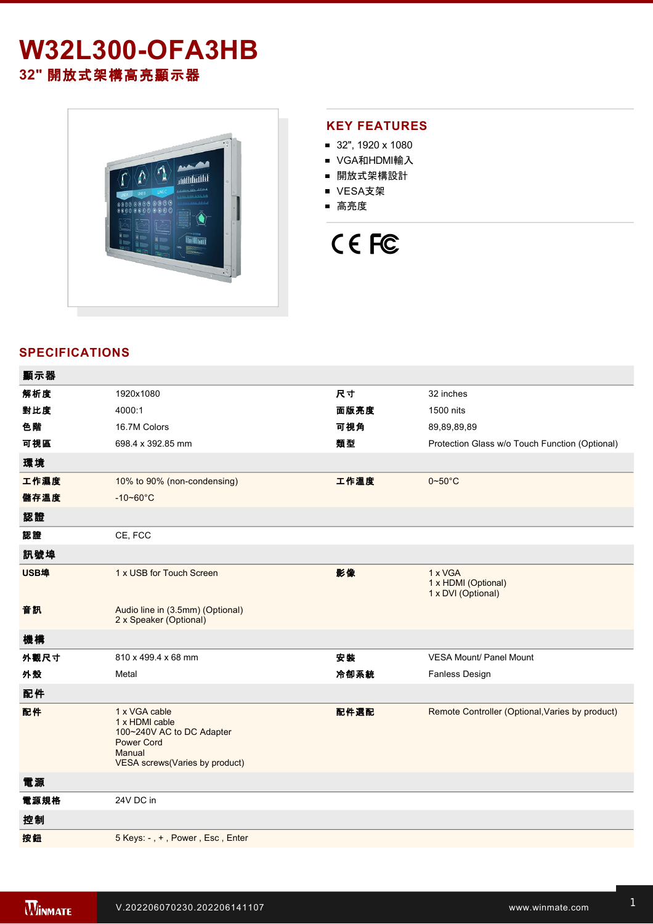# **W32L300-OFA3HB 32"** 開放式架構高亮顯示器



### **KEY FEATURES**

- 32", 1920 x 1080
- VGA和HDMI輸入
- 開放式架構設計
- VESA支架
- 高亮度

# CE FC

## **SPECIFICATIONS**

| 顯示器         |                                                                                                                                      |      |                                                      |
|-------------|--------------------------------------------------------------------------------------------------------------------------------------|------|------------------------------------------------------|
| 解析度         | 1920x1080                                                                                                                            | 尺寸   | 32 inches                                            |
| 對比度         | 4000:1                                                                                                                               | 面版亮度 | 1500 nits                                            |
| 色階          | 16.7M Colors                                                                                                                         | 可視角  | 89,89,89,89                                          |
| 可視區         | 698.4 x 392.85 mm                                                                                                                    | 類型   | Protection Glass w/o Touch Function (Optional)       |
| 環境          |                                                                                                                                      |      |                                                      |
| 工作濕度        | 10% to 90% (non-condensing)                                                                                                          | 工作溫度 | $0 - 50$ °C                                          |
| 儲存溫度        | $-10 - 60^{\circ}$ C                                                                                                                 |      |                                                      |
| 認證          |                                                                                                                                      |      |                                                      |
| 認證          | CE, FCC                                                                                                                              |      |                                                      |
| 訊號埠         |                                                                                                                                      |      |                                                      |
| <b>USB埠</b> | 1 x USB for Touch Screen                                                                                                             | 影像   | 1 x VGA<br>1 x HDMI (Optional)<br>1 x DVI (Optional) |
| 音訊          | Audio line in (3.5mm) (Optional)<br>2 x Speaker (Optional)                                                                           |      |                                                      |
| 機構          |                                                                                                                                      |      |                                                      |
| 外觀尺寸        | 810 x 499.4 x 68 mm                                                                                                                  | 安裝   | <b>VESA Mount/ Panel Mount</b>                       |
| 外殼          | Metal                                                                                                                                | 冷卻系統 | <b>Fanless Design</b>                                |
| 配件          |                                                                                                                                      |      |                                                      |
| 配件          | 1 x VGA cable<br>1 x HDMI cable<br>100~240V AC to DC Adapter<br><b>Power Cord</b><br>Manual<br><b>VESA</b> screws(Varies by product) | 配件選配 | Remote Controller (Optional, Varies by product)      |
| 電源          |                                                                                                                                      |      |                                                      |
| 電源規格        | 24V DC in                                                                                                                            |      |                                                      |
| 控制          |                                                                                                                                      |      |                                                      |
| 按鈕          | 5 Keys: -, +, Power, Esc, Enter                                                                                                      |      |                                                      |
|             |                                                                                                                                      |      |                                                      |